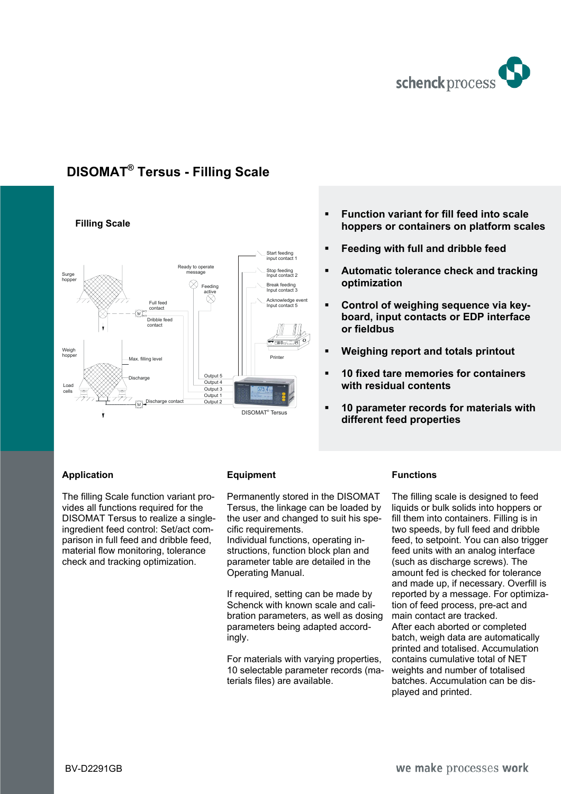

# **DISOMAT® Tersus - Filling Scale**



# **Function variant for fill feed into scale hoppers or containers on platform scales**

- **Feeding with full and dribble feed**
- **Automatic tolerance check and tracking optimization**
- **Control of weighing sequence via keyboard, input contacts or EDP interface or fieldbus**
- **Weighing report and totals printout**
- **10 fixed tare memories for containers with residual contents**
- **10 parameter records for materials with different feed properties**

## **Application**

The filling Scale function variant provides all functions required for the DISOMAT Tersus to realize a singleingredient feed control: Set/act comparison in full feed and dribble feed, material flow monitoring, tolerance check and tracking optimization.

## **Equipment**

Permanently stored in the DISOMAT Tersus, the linkage can be loaded by the user and changed to suit his specific requirements.

Individual functions, operating instructions, function block plan and parameter table are detailed in the Operating Manual.

If required, setting can be made by Schenck with known scale and calibration parameters, as well as dosing parameters being adapted accordingly.

For materials with varying properties, 10 selectable parameter records (materials files) are available.

## **Functions**

The filling scale is designed to feed liquids or bulk solids into hoppers or fill them into containers. Filling is in two speeds, by full feed and dribble feed, to setpoint. You can also trigger feed units with an analog interface (such as discharge screws). The amount fed is checked for tolerance and made up, if necessary. Overfill is reported by a message. For optimization of feed process, pre-act and main contact are tracked. After each aborted or completed batch, weigh data are automatically printed and totalised. Accumulation contains cumulative total of NET weights and number of totalised batches. Accumulation can be displayed and printed.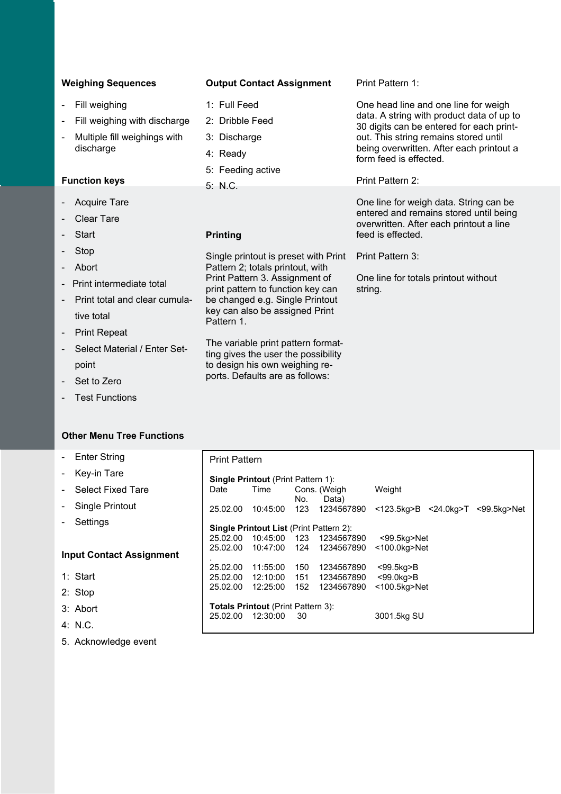| <b>Weighing Sequences</b>                 | <b>Output Contact Assignment</b>                                          | Print Pattern 1:                                                                                                            |  |
|-------------------------------------------|---------------------------------------------------------------------------|-----------------------------------------------------------------------------------------------------------------------------|--|
| Fill weighing                             | 1: Full Feed                                                              | One head line and one line for weigh                                                                                        |  |
| Fill weighing with discharge              | 2: Dribble Feed                                                           | data. A string with product data of up to<br>30 digits can be entered for each print-                                       |  |
| Multiple fill weighings with<br>discharge | 3: Discharge                                                              | out. This string remains stored until                                                                                       |  |
|                                           | 4: Ready                                                                  | being overwritten. After each printout a<br>form feed is effected.                                                          |  |
|                                           | 5: Feeding active                                                         |                                                                                                                             |  |
| <b>Function keys</b>                      | 5: N.C.                                                                   | Print Pattern 2:                                                                                                            |  |
| <b>Acquire Tare</b><br><b>Clear Tare</b>  |                                                                           | One line for weigh data. String can be<br>entered and remains stored until being<br>overwritten. After each printout a line |  |
| Start                                     | <b>Printing</b>                                                           | feed is effected.                                                                                                           |  |
| Stop                                      | Single printout is preset with Print                                      | Print Pattern 3:                                                                                                            |  |
| Abort                                     | Pattern 2; totals printout, with                                          |                                                                                                                             |  |
| Print intermediate total                  | Print Pattern 3. Assignment of<br>print pattern to function key can       | One line for totals printout without<br>string.                                                                             |  |
| Print total and clear cumula-             | be changed e.g. Single Printout                                           |                                                                                                                             |  |
| tive total                                | key can also be assigned Print<br>Pattern 1.                              |                                                                                                                             |  |
| <b>Print Repeat</b>                       |                                                                           |                                                                                                                             |  |
| Select Material / Enter Set-              | The variable print pattern format-<br>ting gives the user the possibility |                                                                                                                             |  |

to design his own weighing reports. Defaults are as follows:

- Set to Zero

point

- Test Functions

# **Other Menu Tree Functions**

- Enter String
- Key-in Tare
- Select Fixed Tare
- Single Printout
- Settings

# **Input Contact Assign**

- 1: Start
- 2: Stop
- 3: Abort
- 4: N.C.
- 5. Acknowledge event

|       | <b>Print Pattern</b>                                                      |                                        |     |                                                   |                                                     |  |
|-------|---------------------------------------------------------------------------|----------------------------------------|-----|---------------------------------------------------|-----------------------------------------------------|--|
|       | <b>Single Printout (Print Pattern 1):</b><br>Time<br>Cons. (Weigh<br>Date |                                        |     |                                                   | Weight                                              |  |
|       | 25.02.00                                                                  | 10:45:00                               | No. | Data)                                             | 123  1234567890  <123.5kg>B  <24.0kg>T  <99.5kg>Net |  |
|       | <b>Single Printout List (Print Pattern 2):</b>                            |                                        |     |                                                   |                                                     |  |
| nment |                                                                           | 25.02.00  10:47:00  124                |     | 25.02.00  10:45:00  123  1234567890<br>1234567890 | <99.5kg>Net<br>$<$ 100.0 $kg$ >Net                  |  |
|       | 25.02.00                                                                  | 11:55:00                               | 150 | 1234567890                                        | $<$ 99.5 $kg$ $>$ B                                 |  |
|       |                                                                           | 25.02.00 12:10:00<br>25.02.00 12:25:00 | 152 | 1234567890                                        | $<$ 99.0 $kg$ $>$ B<br>$<$ 100.5 $kg$ >Net          |  |
|       | <b>Totals Printout</b> (Print Pattern 3):                                 |                                        |     |                                                   |                                                     |  |
|       | 25.02.00                                                                  | 12:30:00                               | 30  |                                                   | 3001.5kg SU                                         |  |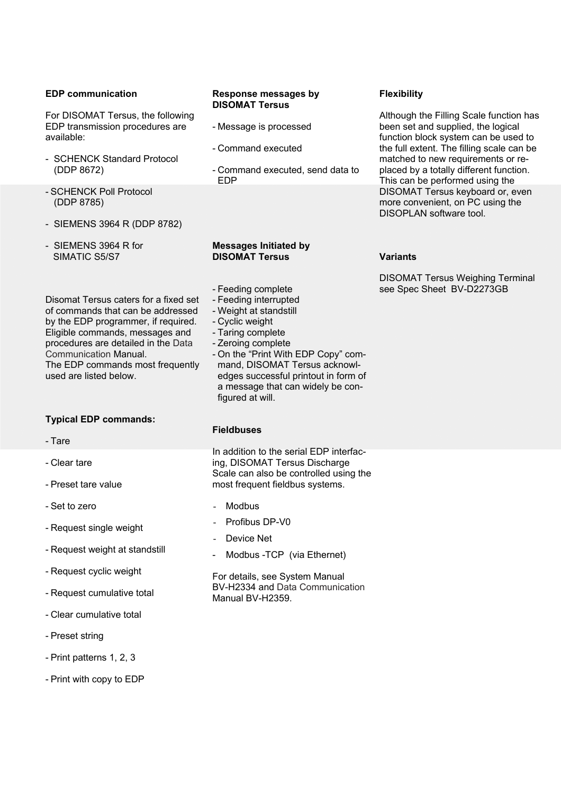#### **EDP communication**

For DISOMAT Tersus, the following EDP transmission procedures are available:

- SCHENCK Standard Protocol (DDP 8672)
- SCHENCK Poll Protocol (DDP 8785)
- SIEMENS 3964 R (DDP 8782)
- SIEMENS 3964 R for SIMATIC S5/S7

Disomat Tersus caters for a fixed set of commands that can be addressed by the EDP programmer, if required. Eligible commands, messages and procedures are detailed in the Data Communication Manual. The EDP commands most frequently used are listed below.

## **Typical EDP commands:**

- Tare
- Clear tare
- Preset tare value
- Set to zero
- Request single weight
- Request weight at standstill
- Request cyclic weight
- Request cumulative total
- Clear cumulative total
- Preset string
- Print patterns 1, 2, 3
- Print with copy to EDP

#### **Response messages by DISOMAT Tersus**

- Message is processed
- Command executed
- Command executed, send data to EDP

#### **Messages Initiated by DISOMAT Tersus**

- Feeding complete
- Feeding interrupted
- Weight at standstill
- Cyclic weight
- Taring complete
- Zeroing complete
- On the "Print With EDP Copy" command, DISOMAT Tersus acknowledges successful printout in form of a message that can widely be configured at will.

#### **Fieldbuses**

In addition to the serial EDP interfacing, DISOMAT Tersus Discharge Scale can also be controlled using the most frequent fieldbus systems.

- Modbus
- Profibus DP-V0
- Device Net
- Modbus TCP (via Ethernet)

For details, see System Manual BV-H2334 and Data Communication Manual BV-H2359.

# **Flexibility**

Although the Filling Scale function has been set and supplied, the logical function block system can be used to the full extent. The filling scale can be matched to new requirements or replaced by a totally different function. This can be performed using the DISOMAT Tersus keyboard or, even more convenient, on PC using the DISOPLAN software tool.

#### **Variants**

DISOMAT Tersus Weighing Terminal see Spec Sheet BV-D2273GB